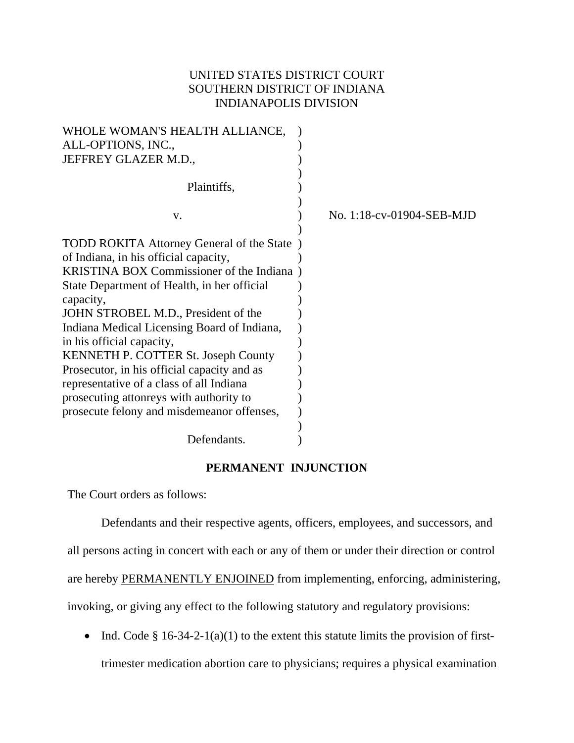## UNITED STATES DISTRICT COURT SOUTHERN DISTRICT OF INDIANA INDIANAPOLIS DIVISION

| WHOLE WOMAN'S HEALTH ALLIANCE,                  |                           |
|-------------------------------------------------|---------------------------|
| ALL-OPTIONS, INC.,                              |                           |
| JEFFREY GLAZER M.D.,                            |                           |
|                                                 |                           |
| Plaintiffs,                                     |                           |
|                                                 |                           |
| V.                                              | No. 1:18-cv-01904-SEB-MJD |
|                                                 |                           |
| TODD ROKITA Attorney General of the State       |                           |
| of Indiana, in his official capacity,           |                           |
| <b>KRISTINA BOX Commissioner of the Indiana</b> |                           |
| State Department of Health, in her official     |                           |
| capacity,                                       |                           |
| JOHN STROBEL M.D., President of the             |                           |
| Indiana Medical Licensing Board of Indiana,     |                           |
| in his official capacity,                       |                           |
| KENNETH P. COTTER St. Joseph County             |                           |
| Prosecutor, in his official capacity and as     |                           |
| representative of a class of all Indiana        |                           |
| prosecuting attonreys with authority to         |                           |
| prosecute felony and misdemeanor offenses,      |                           |
|                                                 |                           |
| Defendants.                                     |                           |

## **PERMANENT INJUNCTION**

The Court orders as follows:

Defendants and their respective agents, officers, employees, and successors, and all persons acting in concert with each or any of them or under their direction or control are hereby PERMANENTLY ENJOINED from implementing, enforcing, administering, invoking, or giving any effect to the following statutory and regulatory provisions:

• Ind. Code  $\S 16-34-2-1(a)(1)$  to the extent this statute limits the provision of firsttrimester medication abortion care to physicians; requires a physical examination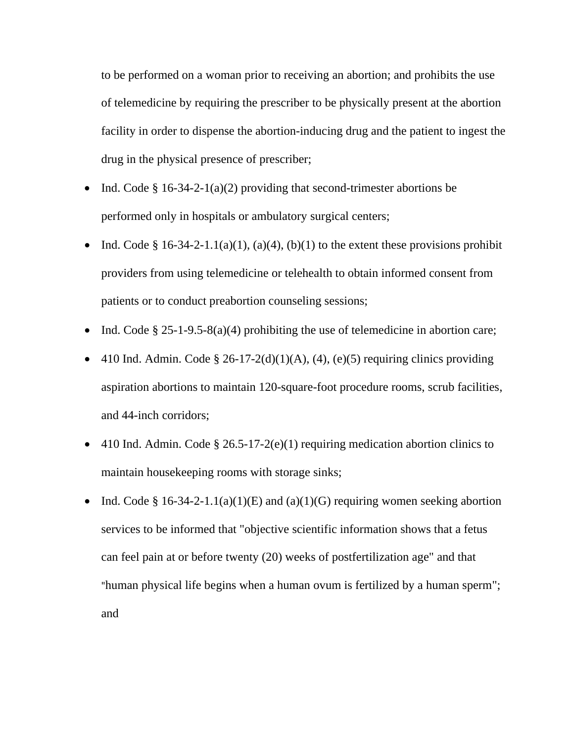to be performed on a woman prior to receiving an abortion; and prohibits the use of telemedicine by requiring the prescriber to be physically present at the abortion facility in order to dispense the abortion-inducing drug and the patient to ingest the drug in the physical presence of prescriber;

- Ind. Code § 16-34-2-1(a)(2) providing that second-trimester abortions be performed only in hospitals or ambulatory surgical centers;
- Ind. Code § 16-34-2-1.1(a)(1), (a)(4), (b)(1) to the extent these provisions prohibit providers from using telemedicine or telehealth to obtain informed consent from patients or to conduct preabortion counseling sessions;
- Ind. Code  $\S 25$ -1-9.5-8(a)(4) prohibiting the use of telemedicine in abortion care;
- 410 Ind. Admin. Code § 26-17-2(d)(1)(A), (4), (e)(5) requiring clinics providing aspiration abortions to maintain 120-square-foot procedure rooms, scrub facilities, and 44-inch corridors;
- 410 Ind. Admin. Code  $\S 26.5\n-17\n-2(e)(1)$  requiring medication abortion clinics to maintain housekeeping rooms with storage sinks;
- Ind. Code § 16-34-2-1.1(a)(1)(E) and (a)(1)(G) requiring women seeking abortion services to be informed that "objective scientific information shows that a fetus can feel pain at or before twenty (20) weeks of postfertilization age" and that "human physical life begins when a human ovum is fertilized by a human sperm"; and